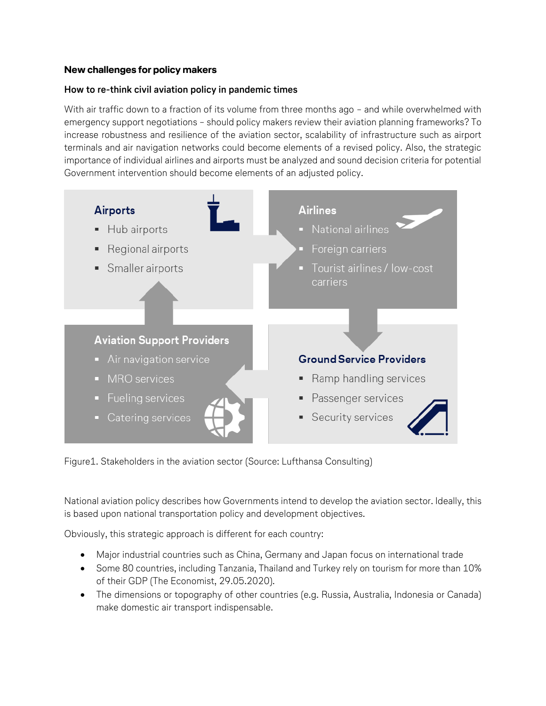## **New challenges for policy makers**

### **How to re-think civil aviation policy in pandemic times**

With air traffic down to a fraction of its volume from three months ago - and while overwhelmed with emergency support negotiations – should policy makers review their aviation planning frameworks? To increase robustness and resilience of the aviation sector, scalability of infrastructure such as airport terminals and air navigation networks could become elements of a revised policy. Also, the strategic importance of individual airlines and airports must be analyzed and sound decision criteria for potential Government intervention should become elements of an adjusted policy.



Figure1. Stakeholders in the aviation sector (Source: Lufthansa Consulting)

National aviation policy describes how Governments intend to develop the aviation sector. Ideally, this is based upon national transportation policy and development objectives.

Obviously, this strategic approach is different for each country:

- Major industrial countries such as China, Germany and Japan focus on international trade
- Some 80 countries, including Tanzania, Thailand and Turkey rely on tourism for more than 10% of their GDP (The Economist, 29.05.2020).
- The dimensions or topography of other countries (e.g. Russia, Australia, Indonesia or Canada) make domestic air transport indispensable.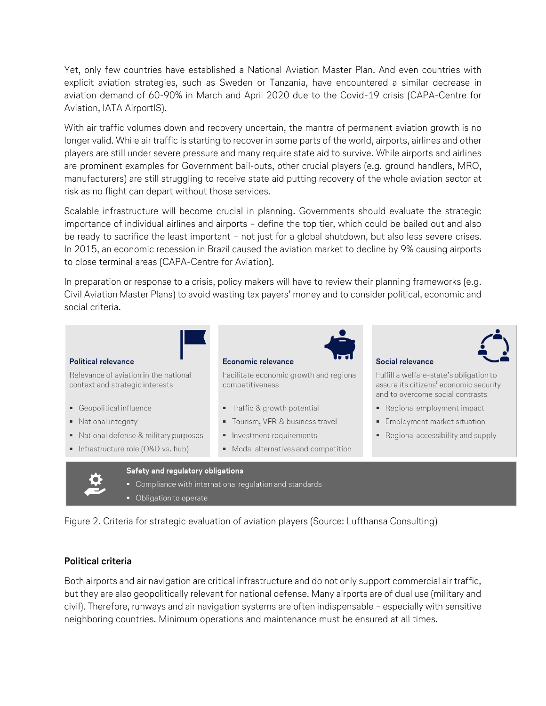Yet, only few countries have established a National Aviation Master Plan. And even countries with explicit aviation strategies, such as Sweden or Tanzania, have encountered a similar decrease in aviation demand of 60-90% in March and April 2020 due to the Covid-19 crisis (CAPA-Centre for Aviation, IATA AirportIS).

With air traffic volumes down and recovery uncertain, the mantra of permanent aviation growth is no longer valid. While air traffic is starting to recover in some parts of the world, airports, airlines and other players are still under severe pressure and many require state aid to survive. While airports and airlines are prominent examples for Government bail-outs, other crucial players (e.g. ground handlers, MRO, manufacturers) are still struggling to receive state aid putting recovery of the whole aviation sector at risk as no flight can depart without those services.

Scalable infrastructure will become crucial in planning. Governments should evaluate the strategic importance of individual airlines and airports – define the top tier, which could be bailed out and also be ready to sacrifice the least important – not just for a global shutdown, but also less severe crises. In 2015, an economic recession in Brazil caused the aviation market to decline by 9% causing airports to close terminal areas (CAPA-Centre for Aviation).

In preparation or response to a crisis, policy makers will have to review their planning frameworks (e.g. Civil Aviation Master Plans) to avoid wasting tax payers' money and to consider political, economic and social criteria.

#### Political relevance

Relevance of aviation in the national context and strategic interests

- Geopolitical influence
- National integrity
- National defense & military purposes
- Infrastructure role (O&D vs. hub)

#### Economic relevance

Facilitate economic growth and regional competitiveness

- Traffic & growth potential
- Tourism, VFR & business travel
- Investment requirements
- Modal alternatives and competition

# Social relevance



Fulfill a welfare-state's obligation to assure its citizens' economic security and to overcome social contrasts

- Regional employment impact
- **Employment market situation**
- Regional accessibility and supply



Safety and regulatory obligations

- Compliance with international regulation and standards
- Obligation to operate

Figure 2. Criteria for strategic evaluation of aviation players (Source: Lufthansa Consulting)

# **Political criteria**

Both airports and air navigation are critical infrastructure and do not only support commercial air traffic, but they are also geopolitically relevant for national defense. Many airports are of dual use (military and civil). Therefore, runways and air navigation systems are often indispensable – especially with sensitive neighboring countries. Minimum operations and maintenance must be ensured at all times.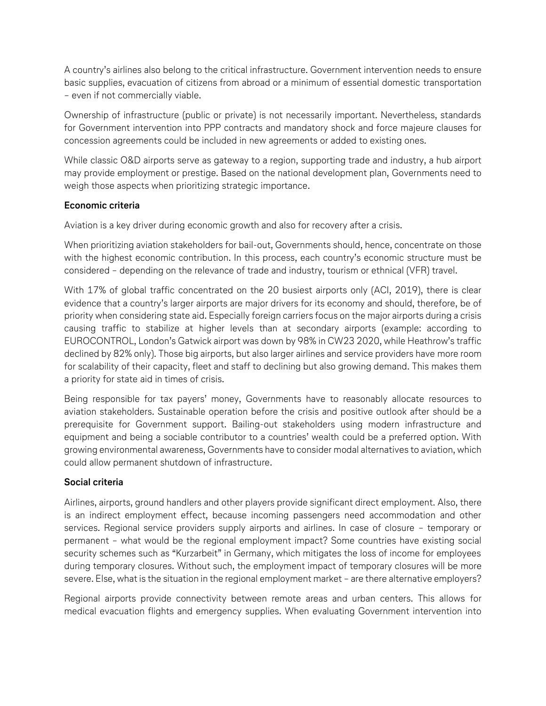A country's airlines also belong to the critical infrastructure. Government intervention needs to ensure basic supplies, evacuation of citizens from abroad or a minimum of essential domestic transportation – even if not commercially viable.

Ownership of infrastructure (public or private) is not necessarily important. Nevertheless, standards for Government intervention into PPP contracts and mandatory shock and force majeure clauses for concession agreements could be included in new agreements or added to existing ones.

While classic O&D airports serve as gateway to a region, supporting trade and industry, a hub airport may provide employment or prestige. Based on the national development plan, Governments need to weigh those aspects when prioritizing strategic importance.

# **Economic criteria**

Aviation is a key driver during economic growth and also for recovery after a crisis.

When prioritizing aviation stakeholders for bail-out, Governments should, hence, concentrate on those with the highest economic contribution. In this process, each country's economic structure must be considered – depending on the relevance of trade and industry, tourism or ethnical (VFR) travel.

With 17% of global traffic concentrated on the 20 busiest airports only (ACI, 2019), there is clear evidence that a country's larger airports are major drivers for its economy and should, therefore, be of priority when considering state aid. Especially foreign carriers focus on the major airports during a crisis causing traffic to stabilize at higher levels than at secondary airports (example: according to EUROCONTROL, London's Gatwick airport was down by 98% in CW23 2020, while Heathrow's traffic declined by 82% only). Those big airports, but also larger airlines and service providers have more room for scalability of their capacity, fleet and staff to declining but also growing demand. This makes them a priority for state aid in times of crisis.

Being responsible for tax payers' money, Governments have to reasonably allocate resources to aviation stakeholders. Sustainable operation before the crisis and positive outlook after should be a prerequisite for Government support. Bailing-out stakeholders using modern infrastructure and equipment and being a sociable contributor to a countries' wealth could be a preferred option. With growing environmental awareness, Governments have to consider modal alternatives to aviation, which could allow permanent shutdown of infrastructure.

# **Social criteria**

Airlines, airports, ground handlers and other players provide significant direct employment. Also, there is an indirect employment effect, because incoming passengers need accommodation and other services. Regional service providers supply airports and airlines. In case of closure – temporary or permanent – what would be the regional employment impact? Some countries have existing social security schemes such as "Kurzarbeit" in Germany, which mitigates the loss of income for employees during temporary closures. Without such, the employment impact of temporary closures will be more severe. Else, what is the situation in the regional employment market – are there alternative employers?

Regional airports provide connectivity between remote areas and urban centers. This allows for medical evacuation flights and emergency supplies. When evaluating Government intervention into